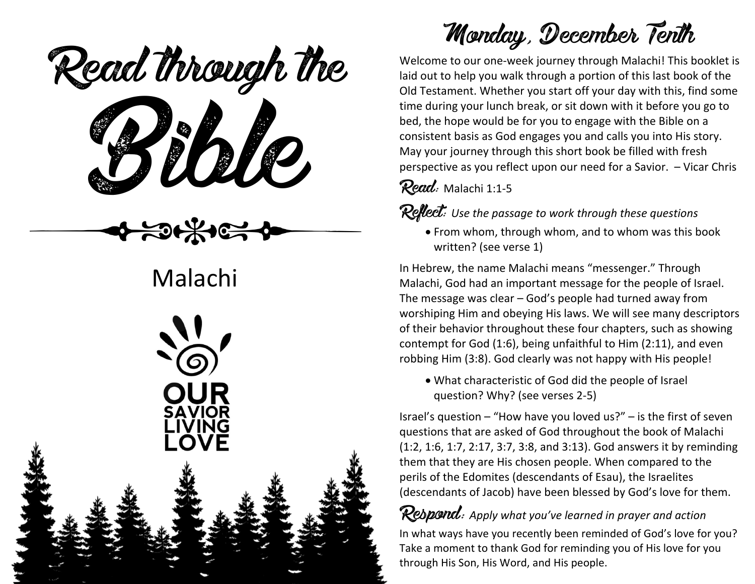Read through the



# Malachi



# Monday, December Tenth

Welcome to our one-week journey through Malachi! This booklet is laid out to help you walk through a portion of this last book of the Old Testament. Whether you start off your day with this, find some time during your lunch break, or sit down with it before you go to bed, the hope would be for you to engage with the Bible on a consistent basis as God engages you and calls you into His story. May your journey through this short book be filled with fresh perspective as you reflect upon our need for a Savior. – Vicar Chris

Read: Malachi 1:1-5

Reflect: *Use the passage to work through these questions*

• From whom, through whom, and to whom was this book written? (see verse 1)

In Hebrew, the name Malachi means "messenger." Through Malachi, God had an important message for the people of Israel. The message was clear – God's people had turned away from worshiping Him and obeying His laws. We will see many descriptors of their behavior throughout these four chapters, such as showing contempt for God (1:6), being unfaithful to Him (2:11), and even robbing Him (3:8). God clearly was not happy with His people!

• What characteristic of God did the people of Israel question? Why? (see verses 2-5)

Israel's question – "How have you loved us?" – is the first of seven questions that are asked of God throughout the book of Malachi (1:2, 1:6, 1:7, 2:17, 3:7, 3:8, and 3:13). God answers it by reminding them that they are His chosen people. When compared to the perils of the Edomites (descendants of Esau), the Israelites (descendants of Jacob) have been blessed by God's love for them.

## Respond: *Apply what you've learned in prayer and action*

In what ways have you recently been reminded of God's love for you? Take a moment to thank God for reminding you of His love for you through His Son, His Word, and His people.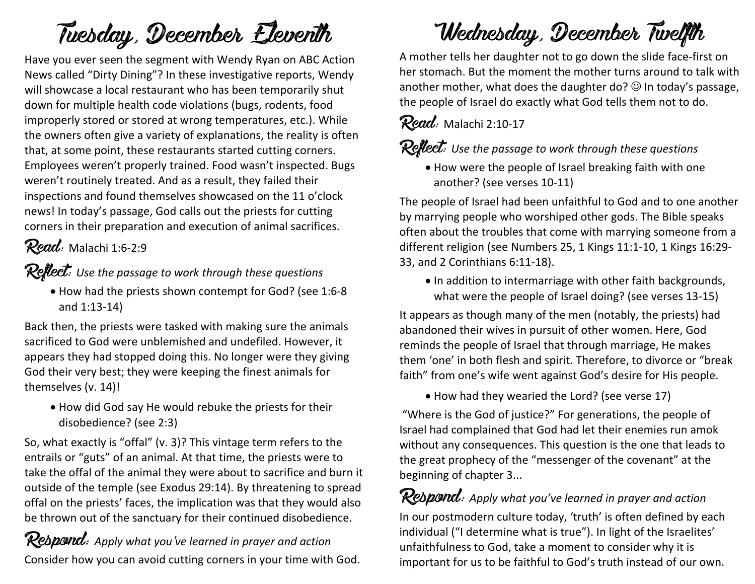# Tuesday, December Eleventh

Have you ever seen the segment with Wendy Ryan on ABC Action News called "Dirty Dining"? In these investigative reports, Wendy will showcase a local restaurant who has been temporarily shut down for multiple health code violations (bugs, rodents, food improperly stored or stored at wrong temperatures, etc.). While the owners often give a variety of explanations, the reality is often that, at some point, these restaurants started cutting corners. Employees weren't properly trained. Food wasn't inspected. Bugs weren't routinely treated. And as a result, they failed their inspections and found themselves showcased on the 11 o'clock news! In today's passage, God calls out the priests for cutting corners in their preparation and execution of animal sacrifices.

### Read: Malachi 1:6-2:9

Reflect: *Use the passage to work through these questions*

• How had the priests shown contempt for God? (see 1:6-8 and 1:13-14)

Back then, the priests were tasked with making sure the animals sacrificed to God were unblemished and undefiled. However, it appears they had stopped doing this. No longer were they giving God their very best; they were keeping the finest animals for themselves (v. 14)!

• How did God say He would rebuke the priests for their disobedience? (see 2:3)

So, what exactly is "offal" (v. 3)? This vintage term refers to the entrails or "guts" of an animal. At that time, the priests were to take the offal of the animal they were about to sacrifice and burn it outside of the temple (see Exodus 29:14). By threatening to spread offal on the priests' faces, the implication was that they would also be thrown out of the sanctuary for their continued disobedience.

Respond: *Apply what you've learned in prayer and action* Consider how you can avoid cutting corners in your time with God.

## Wednesday, December Twelfth

A mother tells her daughter not to go down the slide face-first on her stomach. But the moment the mother turns around to talk with another mother, what does the daughter do?  $\odot$  In today's passage, the people of Israel do exactly what God tells them not to do.

Read: Malachi 2:10-17

#### Reflect: Use the passage to work through these questions

• How were the people of Israel breaking faith with one another? (see verses 10-11)

The people of Israel had been unfaithful to God and to one another by marrying people who worshiped other gods. The Bible speaks often about the troubles that come with marrying someone from a different religion (see Numbers 25, 1 Kings 11:1-10, 1 Kings 16:29- 33, and 2 Corinthians 6:11-18).

• In addition to intermarriage with other faith backgrounds, what were the people of Israel doing? (see verses 13-15)

It appears as though many of the men (notably, the priests) had abandoned their wives in pursuit of other women. Here, God reminds the people of Israel that through marriage, He makes them 'one' in both flesh and spirit. Therefore, to divorce or "break faith" from one's wife went against God's desire for His people.

• How had they wearied the Lord? (see verse 17)

"Where is the God of justice?" For generations, the people of Israel had complained that God had let their enemies run amok without any consequences. This question is the one that leads to the great prophecy of the "messenger of the covenant" at the beginning of chapter 3...

Respond: *Apply what you've learned in prayer and action* In our postmodern culture today, 'truth' is often defined by each individual ("I determine what is true"). In light of the Israelites' unfaithfulness to God, take a moment to consider why it is important for us to be faithful to God's truth instead of our own.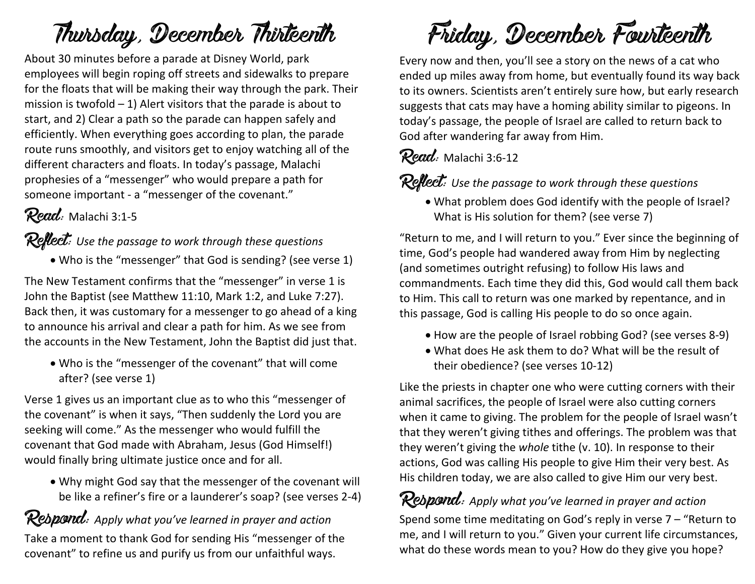## Thursday, December Thirteenth

About 30 minutes before a parade at Disney World, park employees will begin roping off streets and sidewalks to prepare for the floats that will be making their way through the park. Their mission is twofold  $-1$ ) Alert visitors that the parade is about to start, and 2) Clear a path so the parade can happen safely and efficiently. When everything goes according to plan, the parade route runs smoothly, and visitors get to enjoy watching all of the different characters and floats. In today's passage, Malachi prophesies of a "messenger" who would prepare a path for someone important - a "messenger of the covenant."

#### Read: Malachi 3:1-5

#### Reflect: *Use the passage to work through these questions*

• Who is the "messenger" that God is sending? (see verse 1)

The New Testament confirms that the "messenger" in verse 1 is John the Baptist (see Matthew 11:10, Mark 1:2, and Luke 7:27). Back then, it was customary for a messenger to go ahead of a king to announce his arrival and clear a path for him. As we see from the accounts in the New Testament, John the Baptist did just that.

• Who is the "messenger of the covenant" that will come after? (see verse 1)

Verse 1 gives us an important clue as to who this "messenger of the covenant" is when it says, "Then suddenly the Lord you are seeking will come." As the messenger who would fulfill the covenant that God made with Abraham, Jesus (God Himself!) would finally bring ultimate justice once and for all.

• Why might God say that the messenger of the covenant will be like a refiner's fire or a launderer's soap? (see verses 2-4)

Respond: *Apply what you've learned in prayer and action* Take a moment to thank God for sending His "messenger of the covenant" to refine us and purify us from our unfaithful ways.

Friday, December Fourteenth

Every now and then, you'll see a story on the news of a cat who ended up miles away from home, but eventually found its way back to its owners. Scientists aren't entirely sure how, but early research suggests that cats may have a homing ability similar to pigeons. In today's passage, the people of Israel are called to return back to God after wandering far away from Him.

#### Read: Malachi 3:6-12

Reflect: *Use the passage to work through these questions*

• What problem does God identify with the people of Israel? What is His solution for them? (see verse 7)

"Return to me, and I will return to you." Ever since the beginning of time, God's people had wandered away from Him by neglecting (and sometimes outright refusing) to follow His laws and commandments. Each time they did this, God would call them back to Him. This call to return was one marked by repentance, and in this passage, God is calling His people to do so once again.

- How are the people of Israel robbing God? (see verses 8-9)
- What does He ask them to do? What will be the result of their obedience? (see verses 10-12)

Like the priests in chapter one who were cutting corners with their animal sacrifices, the people of Israel were also cutting corners when it came to giving. The problem for the people of Israel wasn't that they weren't giving tithes and offerings. The problem was that they weren't giving the *whole* tithe (v. 10). In response to their actions, God was calling His people to give Him their very best. As His children today, we are also called to give Him our very best.

### Respond: *Apply what you've learned in prayer and action*

Spend some time meditating on God's reply in verse 7 – "Return to me, and I will return to you." Given your current life circumstances, what do these words mean to you? How do they give you hope?